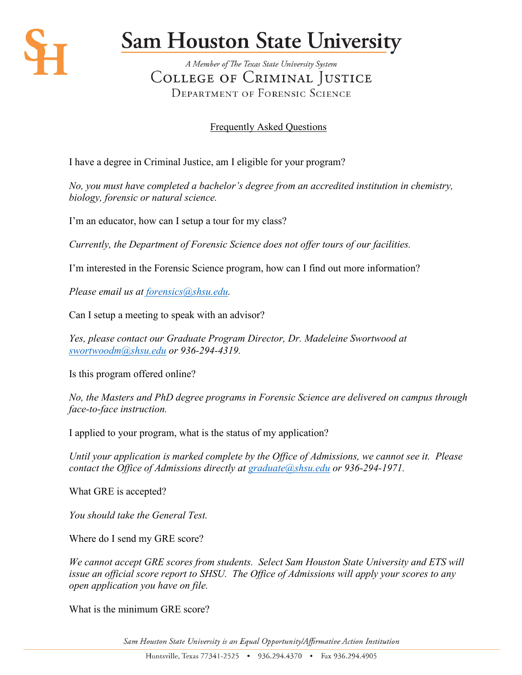

## **Sam Houston State University**

A Member of The Texas State University System COLLEGE OF CRIMINAL JUSTICE **DEPARTMENT OF FORENSIC SCIENCE** 

## Frequently Asked Questions

I have a degree in Criminal Justice, am I eligible for your program?

*No, you must have completed a bachelor's degree from an accredited institution in chemistry, biology, forensic or natural science.* 

I'm an educator, how can I setup a tour for my class?

*Currently, the Department of Forensic Science does not offer tours of our facilities.*

I'm interested in the Forensic Science program, how can I find out more information?

*Please email us at [forensics@shsu.edu.](mailto:forensics@shsu.edu)* 

Can I setup a meeting to speak with an advisor?

*Yes, please contact our Graduate Program Director, Dr. Madeleine Swortwood at [swortwoodm@shsu.edu](mailto:swortwoodm@shsu.edu) or 936-294-4319.* 

Is this program offered online?

*No, the Masters and PhD degree programs in Forensic Science are delivered on campus through face-to-face instruction.* 

I applied to your program, what is the status of my application?

*Until your application is marked complete by the Office of Admissions, we cannot see it. Please contact the Office of Admissions directly at [graduate@shsu.edu](mailto:graduate@shsu.edu) or 936-294-1971.* 

What GRE is accepted?

*You should take the General Test.* 

Where do I send my GRE score?

*We cannot accept GRE scores from students. Select Sam Houston State University and ETS will issue an official score report to SHSU. The Office of Admissions will apply your scores to any open application you have on file.* 

What is the minimum GRE score?

Sam Houston State University is an Equal Opportunity/Affirmative Action Institution